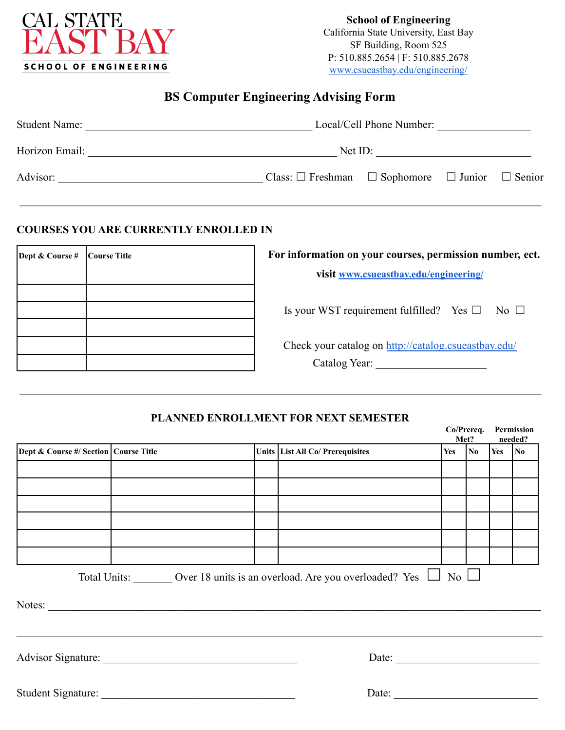

**School of Engineering** California State University, East Bay SF Building, Room 525 P: 510.885.2654 | F: 510.885.2678 [www.csueastbay.edu/engineering/](http://www.csueastbay.edu/engineering/)

## **BS Computer Engineering Advising Form**

| <b>Student Name:</b> | Local/Cell Phone Number:                                            |  |  |  |  |  |
|----------------------|---------------------------------------------------------------------|--|--|--|--|--|
| Horizon Email:       | Net ID:                                                             |  |  |  |  |  |
| Advisor:             | Class: $\Box$ Freshman $\Box$ Sophomore $\Box$ Junior $\Box$ Senior |  |  |  |  |  |

### **COURSES YOU ARE CURRENTLY ENROLLED IN**

| Dept & Course # | Course Title | For information on your courses, permission number, ect. |  |  |
|-----------------|--------------|----------------------------------------------------------|--|--|
|                 |              | visit www.csueastbay.edu/engineering/                    |  |  |
|                 |              |                                                          |  |  |
|                 |              | Is your WST requirement fulfilled? Yes $\Box$ No $\Box$  |  |  |
|                 |              |                                                          |  |  |
|                 |              | Check your catalog on http://catalog.csueastbay.edu/     |  |  |
|                 |              | Catalog Year:                                            |  |  |

### **PLANNED ENROLLMENT FOR NEXT SEMESTER**

|                                         |  |                                                                           |                  | Co/Prereq.<br>Met?  |            | Permission<br>needed? |
|-----------------------------------------|--|---------------------------------------------------------------------------|------------------|---------------------|------------|-----------------------|
| Dept & Course #/ Section   Course Title |  | Units List All Co/ Prerequisites                                          | Yes              | $\overline{\bf No}$ | $Yes$   No |                       |
|                                         |  |                                                                           |                  |                     |            |                       |
|                                         |  |                                                                           |                  |                     |            |                       |
|                                         |  |                                                                           |                  |                     |            |                       |
|                                         |  |                                                                           |                  |                     |            |                       |
|                                         |  |                                                                           |                  |                     |            |                       |
|                                         |  |                                                                           |                  |                     |            |                       |
|                                         |  | Total Units: Over 18 units is an overload. Are you overloaded? Yes $\Box$ | $\overline{N_0}$ |                     |            |                       |
|                                         |  |                                                                           |                  |                     |            |                       |
|                                         |  | Date: $\qquad \qquad$                                                     |                  |                     |            |                       |
|                                         |  | Date:                                                                     |                  |                     |            |                       |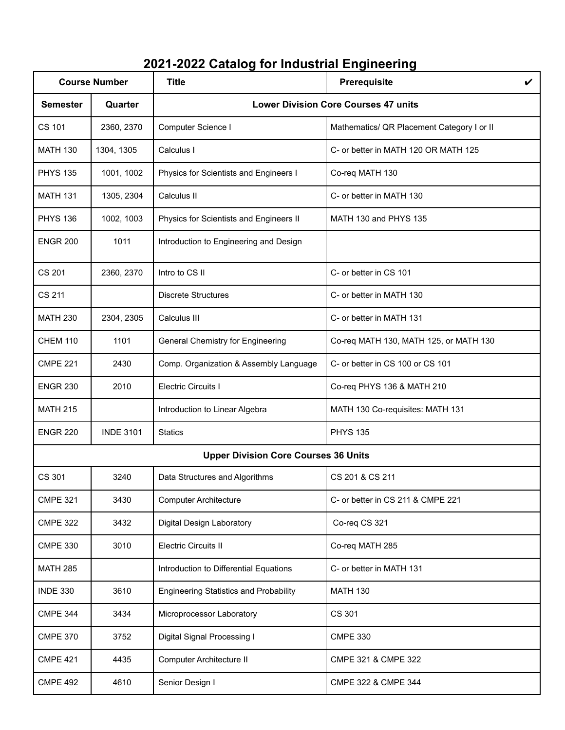# **2021-2022 Catalog for Industrial Engineering**

| <b>Course Number</b> |                  | <b>Title</b>                                  | Prerequisite                               | V |
|----------------------|------------------|-----------------------------------------------|--------------------------------------------|---|
| <b>Semester</b>      | Quarter          | <b>Lower Division Core Courses 47 units</b>   |                                            |   |
| CS 101               | 2360, 2370       | Computer Science I                            | Mathematics/ QR Placement Category I or II |   |
| <b>MATH 130</b>      | 1304, 1305       | Calculus I                                    | C- or better in MATH 120 OR MATH 125       |   |
| <b>PHYS 135</b>      | 1001, 1002       | Physics for Scientists and Engineers I        | Co-req MATH 130                            |   |
| <b>MATH 131</b>      | 1305, 2304       | Calculus II                                   | C- or better in MATH 130                   |   |
| <b>PHYS 136</b>      | 1002, 1003       | Physics for Scientists and Engineers II       | MATH 130 and PHYS 135                      |   |
| <b>ENGR 200</b>      | 1011             | Introduction to Engineering and Design        |                                            |   |
| <b>CS 201</b>        | 2360, 2370       | Intro to CS II                                | C- or better in CS 101                     |   |
| <b>CS 211</b>        |                  | <b>Discrete Structures</b>                    | C- or better in MATH 130                   |   |
| <b>MATH 230</b>      | 2304, 2305       | Calculus III                                  | C- or better in MATH 131                   |   |
| <b>CHEM 110</b>      | 1101             | <b>General Chemistry for Engineering</b>      | Co-req MATH 130, MATH 125, or MATH 130     |   |
| <b>CMPE 221</b>      | 2430             | Comp. Organization & Assembly Language        | C- or better in CS 100 or CS 101           |   |
| <b>ENGR 230</b>      | 2010             | Electric Circuits I                           | Co-req PHYS 136 & MATH 210                 |   |
| <b>MATH 215</b>      |                  | Introduction to Linear Algebra                | MATH 130 Co-requisites: MATH 131           |   |
| <b>ENGR 220</b>      | <b>INDE 3101</b> | <b>Statics</b>                                | <b>PHYS 135</b>                            |   |
|                      |                  | <b>Upper Division Core Courses 36 Units</b>   |                                            |   |
| CS 301               | 3240             | Data Structures and Algorithms                | CS 201 & CS 211                            |   |
| <b>CMPE 321</b>      | 3430             | <b>Computer Architecture</b>                  | C- or better in CS 211 & CMPE 221          |   |
| <b>CMPE 322</b>      | 3432             | Digital Design Laboratory                     | Co-req CS 321                              |   |
| <b>CMPE 330</b>      | 3010             | <b>Electric Circuits II</b>                   | Co-req MATH 285                            |   |
| <b>MATH 285</b>      |                  | Introduction to Differential Equations        | C- or better in MATH 131                   |   |
| <b>INDE 330</b>      | 3610             | <b>Engineering Statistics and Probability</b> | <b>MATH 130</b>                            |   |
| <b>CMPE 344</b>      | 3434             | Microprocessor Laboratory                     | CS 301                                     |   |
| <b>CMPE 370</b>      | 3752             | Digital Signal Processing I                   | <b>CMPE 330</b>                            |   |
| <b>CMPE 421</b>      | 4435             | Computer Architecture II                      | CMPE 321 & CMPE 322                        |   |
| <b>CMPE 492</b>      | 4610             | Senior Design I                               | CMPE 322 & CMPE 344                        |   |